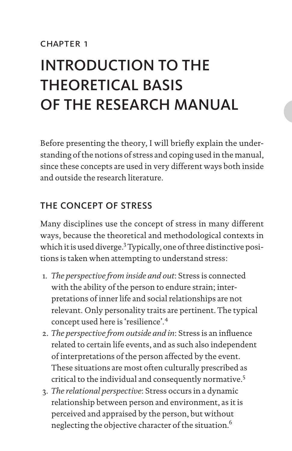# INTRODUCTION TO THE THEORETICAL BASIS OF THE RESEARCH MANUAL

Before presenting the theory, I will briefly explain the understanding of the notions of stress and coping used in the manual, since these concepts are used in very different ways both inside and outside the research literature.

# THE CONCEPT OF STRESS

Many disciplines use the concept of stress in many different ways, because the theoretical and methodological contexts in which it is used diverge.<sup>3</sup> Typically, one of three distinctive positions is taken when attempting to understand stress:

- 1. *The perspective from inside and out*: Stress is connected with the ability of the person to endure strain; interpretations of inner life and social relationships are not relevant. Only personality traits are pertinent. The typical concept used here is 'resilience'.<sup>4</sup>
- 2. *The perspective from outside and in*: Stress is an influence related to certain life events, and as such also independent of interpretations of the person affected by the event. These situations are most often culturally prescribed as critical to the individual and consequently normative.<sup>5</sup>
- 3. *The relational perspective*: Stress occurs in a dynamic relationship between person and environment, as it is perceived and appraised by the person, but without neglecting the objective character of the situation.<sup>6</sup>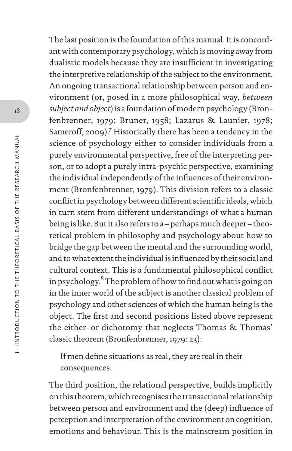The last position is the foundation of this manual. It is concordant with contemporary psychology, which is moving away from dualistic models because they are insufficient in investigating the interpretive relationship of the subject to the environment. An ongoing transactional relationship between person and environment (or, posed in a more philosophical way, *between subject and object*) is a foundation of modern psychology (Bronfenbrenner, 1979; Bruner, 1958; Lazarus & Launier, 1978; Sameroff, 2009).<sup>7</sup> Historically there has been a tendency in the science of psychology either to consider individuals from a purely environmental perspective, free of the interpreting person, or to adopt a purely intra-psychic perspective, examining the individual independently of the influences of their environment (Bronfenbrenner, 1979). This division refers to a classic conflict in psychology between different scientific ideals, which in turn stem from different understandings of what a human being is like. But it also refers to a – perhaps much deeper – theoretical problem in philosophy and psychology about how to bridge the gap between the mental and the surrounding world, and to what extent the individual is influenced by their social and cultural context. This is a fundamental philosophical conflict in psychology.<sup>8</sup> The problem of how to find out what is going on in the inner world of the subject is another classical problem of psychology and other sciences of which the human being is the object. The first and second positions listed above represent the either–or dichotomy that neglects Thomas & Thomas' classic theorem (Bronfenbrenner, 1979: 23):

If men define situations as real, they are real in their consequences.

The third position, the relational perspective, builds implicitly on this theorem, which recognises the transactional relationship between person and environment and the (deep) influence of perception and interpretation of the environment on cognition, emotions and behaviour. This is the mainstream position in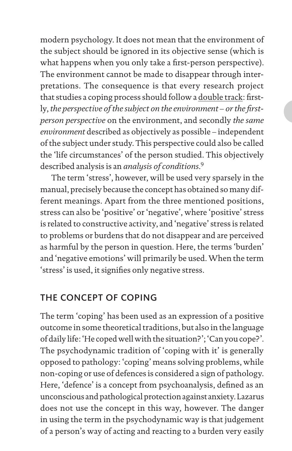modern psychology. It does not mean that the environment of the subject should be ignored in its objective sense (which is what happens when you only take a first-person perspective). The environment cannot be made to disappear through interpretations. The consequence is that every research project that studies a coping process should follow a double track: firstly, *the perspective of the subject on the environment – or the firstperson perspective* on the environment, and secondly *the same environment* described as objectively as possible – independent of the subject under study. This perspective could also be called the 'life circumstances' of the person studied. This objectively described analysis is an *analysis of conditions*. 9

The term 'stress', however, will be used very sparsely in the manual, precisely because the concept has obtained so many different meanings. Apart from the three mentioned positions, stress can also be 'positive' or 'negative', where 'positive' stress is related to constructive activity, and 'negative' stress is related to problems or burdens that do not disappear and are perceived as harmful by the person in question. Here, the terms 'burden' and 'negative emotions' will primarily be used. When the term 'stress' is used, it signifies only negative stress.

### THE CONCEPT OF COPING

The term 'coping' has been used as an expression of a positive outcome in some theoretical traditions, but also in the language of daily life: 'He coped well with the situation?'; 'Can you cope?'. The psychodynamic tradition of 'coping with it' is generally opposed to pathology: 'coping' means solving problems, while non-coping or use of defences is considered a sign of pathology. Here, 'defence' is a concept from psychoanalysis, defined as an unconscious and pathological protection against anxiety. Lazarus does not use the concept in this way, however. The danger in using the term in the psychodynamic way is that judgement of a person's way of acting and reacting to a burden very easily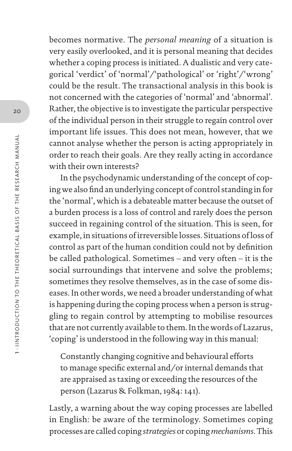becomes normative. The *personal meaning* of a situation is very easily overlooked, and it is personal meaning that decides whether a coping process is initiated. A dualistic and very categorical 'verdict' of 'normal'/'pathological' or 'right'/'wrong' could be the result. The transactional analysis in this book is not concerned with the categories of 'normal' and 'abnormal'. Rather, the objective is to investigate the particular perspective of the individual person in their struggle to regain control over important life issues. This does not mean, however, that we cannot analyse whether the person is acting appropriately in order to reach their goals. Are they really acting in accordance with their own interests?

In the psychodynamic understanding of the concept of coping we also find an underlying concept of control standing in for the 'normal', which is a debateable matter because the outset of a burden process is a loss of control and rarely does the person succeed in regaining control of the situation. This is seen, for example, in situations of irreversible losses. Situations of loss of control as part of the human condition could not by definition be called pathological. Sometimes – and very often – it is the social surroundings that intervene and solve the problems; sometimes they resolve themselves, as in the case of some diseases. In other words, we need a broader understanding of what is happening during the coping process when a person is struggling to regain control by attempting to mobilise resources that are not currently available to them. In the words of Lazarus, 'coping' is understood in the following way in this manual:

Constantly changing cognitive and behavioural efforts to manage specific external and/or internal demands that are appraised as taxing or exceeding the resources of the person (Lazarus & Folkman, 1984: 141).

Lastly, a warning about the way coping processes are labelled in English: be aware of the terminology. Sometimes coping processes are called coping *strategies* or coping *mechanisms*. This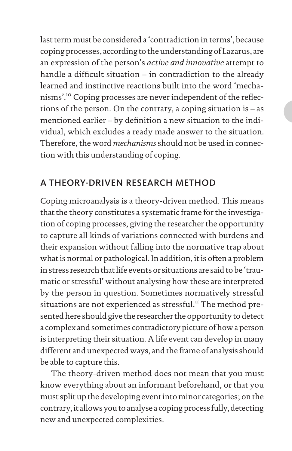last term must be considered a 'contradiction in terms', because coping processes, according to the understanding of Lazarus, are an expression of the person's *active and innovative* attempt to handle a difficult situation – in contradiction to the already learned and instinctive reactions built into the word 'mechanisms'.<sup>10</sup> Coping processes are never independent of the reflections of the person. On the contrary, a coping situation is – as mentioned earlier – by definition a new situation to the individual, which excludes a ready made answer to the situation. Therefore, the word *mechanisms* should not be used in connection with this understanding of coping.

## A THEORY-DRIVEN RESEARCH METHOD

Coping microanalysis is a theory-driven method. This means that the theory constitutes a systematic frame for the investigation of coping processes, giving the researcher the opportunity to capture all kinds of variations connected with burdens and their expansion without falling into the normative trap about what is normal or pathological. In addition, it is often a problem in stress research that life events or situations are said to be 'traumatic or stressful' without analysing how these are interpreted by the person in question. Sometimes normatively stressful situations are not experienced as stressful.<sup>11</sup> The method presented here should give the researcher the opportunity to detect a complex and sometimes contradictory picture of how a person is interpreting their situation. A life event can develop in many different and unexpected ways, and the frame of analysis should be able to capture this.

The theory-driven method does not mean that you must know everything about an informant beforehand, or that you must split up the developing event into minor categories; on the contrary, it allows you to analyse a coping process fully, detecting new and unexpected complexities.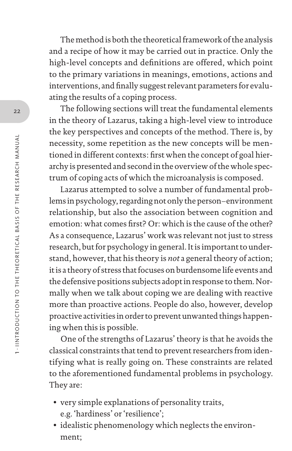The method is both the theoretical framework of the analysis and a recipe of how it may be carried out in practice. Only the high-level concepts and definitions are offered, which point to the primary variations in meanings, emotions, actions and interventions, and finally suggest relevant parameters for evaluating the results of a coping process.

The following sections will treat the fundamental elements in the theory of Lazarus, taking a high-level view to introduce the key perspectives and concepts of the method. There is, by necessity, some repetition as the new concepts will be mentioned in different contexts: first when the concept of goal hierarchy is presented and second in the overview of the whole spectrum of coping acts of which the microanalysis is composed.

Lazarus attempted to solve a number of fundamental problems in psychology, regarding not only the person–environment relationship, but also the association between cognition and emotion: what comes first? Or: which is the cause of the other? As a consequence, Lazarus' work was relevant not just to stress research, but for psychology in general. It is important to understand, however, that his theory is *not* a general theory of action; it is a theory of stress that focuses on burdensome life events and the defensive positions subjects adopt in response to them. Normally when we talk about coping we are dealing with reactive more than proactive actions. People do also, however, develop proactive activities in order to prevent unwanted things happening when this is possible.

One of the strengths of Lazarus' theory is that he avoids the classical constraints that tend to prevent researchers from identifying what is really going on. These constraints are related to the aforementioned fundamental problems in psychology. They are:

- very simple explanations of personality traits, e.g. 'hardiness' or 'resilience';
- idealistic phenomenology which neglects the environment;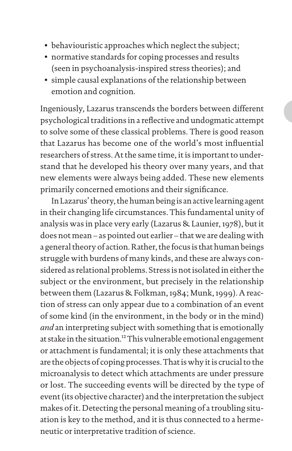- behaviouristic approaches which neglect the subject;
- normative standards for coping processes and results (seen in psychoanalysis-inspired stress theories); and
- simple causal explanations of the relationship between emotion and cognition.

Ingeniously, Lazarus transcends the borders between different psychological traditions in a reflective and undogmatic attempt to solve some of these classical problems. There is good reason that Lazarus has become one of the world's most influential researchers of stress. At the same time, it is important to understand that he developed his theory over many years, and that new elements were always being added. These new elements primarily concerned emotions and their significance.

In Lazarus' theory, the human being is an active learning agent in their changing life circumstances. This fundamental unity of analysis was in place very early (Lazarus & Launier, 1978), but it does not mean – as pointed out earlier – that we are dealing with a general theory of action. Rather, the focus is that human beings struggle with burdens of many kinds, and these are always considered as relational problems. Stress is not isolated in either the subject or the environment, but precisely in the relationship between them (Lazarus & Folkman, 1984; Munk, 1999). A reaction of stress can only appear due to a combination of an event of some kind (in the environment, in the body or in the mind) *and* an interpreting subject with something that is emotionally at stake in the situation.<sup>12</sup> This vulnerable emotional engagement or attachment is fundamental; it is only these attachments that are the objects of coping processes. That is why it is crucial to the microanalysis to detect which attachments are under pressure or lost. The succeeding events will be directed by the type of event (its objective character) and the interpretation the subject makes of it. Detecting the personal meaning of a troubling situation is key to the method, and it is thus connected to a hermeneutic or interpretative tradition of science.